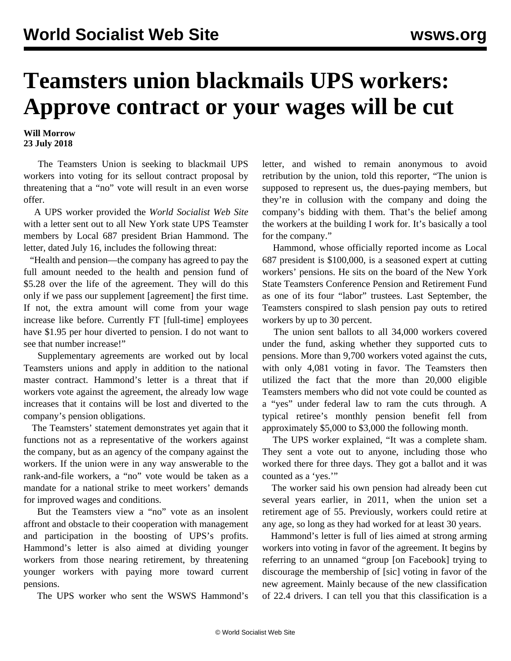## **Teamsters union blackmails UPS workers: Approve contract or your wages will be cut**

**Will Morrow 23 July 2018**

 The Teamsters Union is seeking to blackmail UPS workers into voting for its sellout contract proposal by threatening that a "no" vote will result in an even worse offer.

 A UPS worker provided the *World Socialist Web Site* with a letter sent out to all New York state UPS Teamster members by Local 687 president Brian Hammond. The letter, dated July 16, includes the following threat:

 "Health and pension—the company has agreed to pay the full amount needed to the health and pension fund of \$5.28 over the life of the agreement. They will do this only if we pass our supplement [agreement] the first time. If not, the extra amount will come from your wage increase like before. Currently FT [full-time] employees have \$1.95 per hour diverted to pension. I do not want to see that number increase!"

 Supplementary agreements are worked out by local Teamsters unions and apply in addition to the national master contract. Hammond's letter is a threat that if workers vote against the agreement, the already low wage increases that it contains will be lost and diverted to the company's pension obligations.

 The Teamsters' statement demonstrates yet again that it functions not as a representative of the workers against the company, but as an agency of the company against the workers. If the union were in any way answerable to the rank-and-file workers, a "no" vote would be taken as a mandate for a national strike to meet workers' demands for improved wages and conditions.

 But the Teamsters view a "no" vote as an insolent affront and obstacle to their cooperation with management and participation in the boosting of UPS's profits. Hammond's letter is also aimed at dividing younger workers from those nearing retirement, by threatening younger workers with paying more toward current pensions.

The UPS worker who sent the WSWS Hammond's

letter, and wished to remain anonymous to avoid retribution by the union, told this reporter, "The union is supposed to represent us, the dues-paying members, but they're in collusion with the company and doing the company's bidding with them. That's the belief among the workers at the building I work for. It's basically a tool for the company."

 Hammond, whose officially reported income as Local 687 president is \$100,000, is a seasoned expert at cutting workers' pensions. He sits on the board of the New York State Teamsters Conference Pension and Retirement Fund as one of its four "labor" trustees. Last September, the Teamsters conspired to slash pension pay outs to retired workers by up to 30 percent.

 The union sent ballots to all 34,000 workers covered under the fund, asking whether they supported cuts to pensions. More than 9,700 workers voted against the cuts, with only 4,081 voting in favor. The Teamsters then utilized the fact that the more than 20,000 eligible Teamsters members who did not vote could be counted as a "yes" under federal law to ram the cuts through. A typical retiree's monthly pension benefit fell from approximately \$5,000 to \$3,000 the following month.

 The UPS worker explained, "It was a complete sham. They sent a vote out to anyone, including those who worked there for three days. They got a ballot and it was counted as a 'yes.'"

 The worker said his own pension had already been cut several years earlier, in 2011, when the union set a retirement age of 55. Previously, workers could retire at any age, so long as they had worked for at least 30 years.

 Hammond's letter is full of lies aimed at strong arming workers into voting in favor of the agreement. It begins by referring to an unnamed "group [on Facebook] trying to discourage the membership of [sic] voting in favor of the new agreement. Mainly because of the new classification of 22.4 drivers. I can tell you that this classification is a